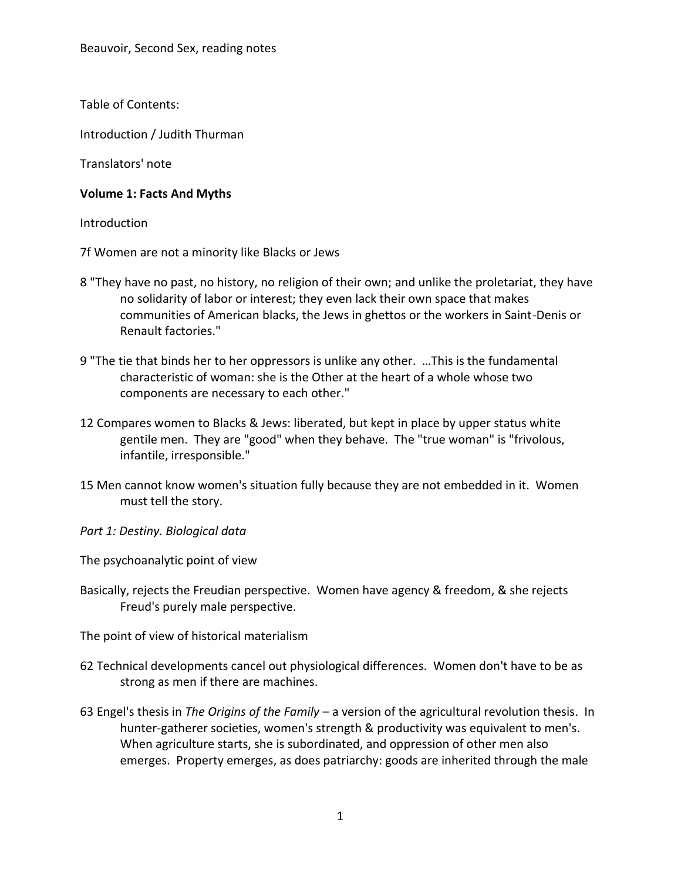Table of Contents:

Introduction / Judith Thurman

Translators' note

## **Volume 1: Facts And Myths**

**Introduction** 

7f Women are not a minority like Blacks or Jews

- 8 "They have no past, no history, no religion of their own; and unlike the proletariat, they have no solidarity of labor or interest; they even lack their own space that makes communities of American blacks, the Jews in ghettos or the workers in Saint-Denis or Renault factories."
- 9 "The tie that binds her to her oppressors is unlike any other. …This is the fundamental characteristic of woman: she is the Other at the heart of a whole whose two components are necessary to each other."
- 12 Compares women to Blacks & Jews: liberated, but kept in place by upper status white gentile men. They are "good" when they behave. The "true woman" is "frivolous, infantile, irresponsible."
- 15 Men cannot know women's situation fully because they are not embedded in it. Women must tell the story.
- *Part 1: Destiny. Biological data*

The psychoanalytic point of view

Basically, rejects the Freudian perspective. Women have agency & freedom, & she rejects Freud's purely male perspective.

The point of view of historical materialism

- 62 Technical developments cancel out physiological differences. Women don't have to be as strong as men if there are machines.
- 63 Engel's thesis in *The Origins of the Family* a version of the agricultural revolution thesis. In hunter-gatherer societies, women's strength & productivity was equivalent to men's. When agriculture starts, she is subordinated, and oppression of other men also emerges. Property emerges, as does patriarchy: goods are inherited through the male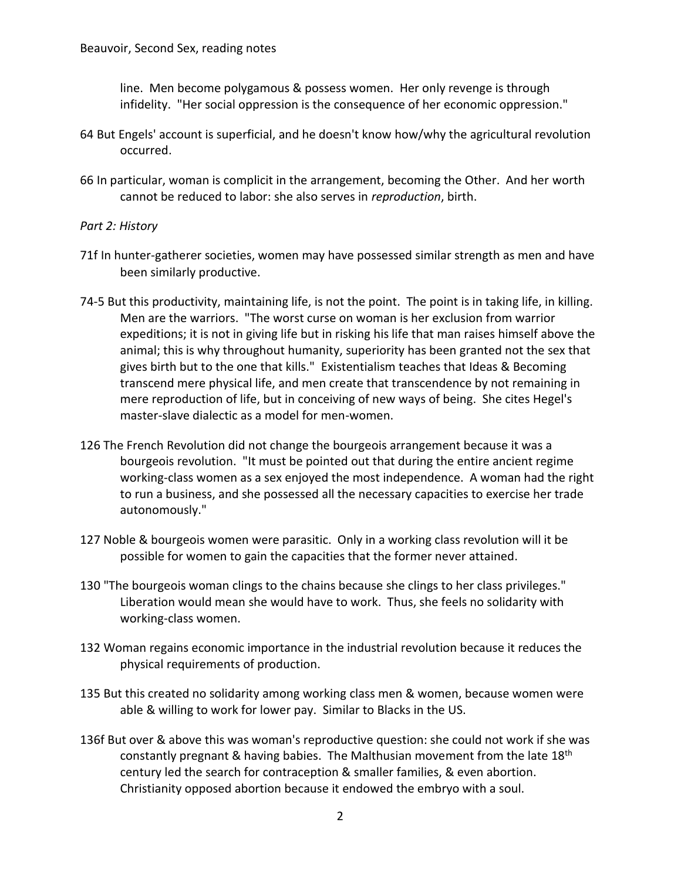line. Men become polygamous & possess women. Her only revenge is through infidelity. "Her social oppression is the consequence of her economic oppression."

- 64 But Engels' account is superficial, and he doesn't know how/why the agricultural revolution occurred.
- 66 In particular, woman is complicit in the arrangement, becoming the Other. And her worth cannot be reduced to labor: she also serves in *reproduction*, birth.

## *Part 2: History*

- 71f In hunter-gatherer societies, women may have possessed similar strength as men and have been similarly productive.
- 74-5 But this productivity, maintaining life, is not the point. The point is in taking life, in killing. Men are the warriors. "The worst curse on woman is her exclusion from warrior expeditions; it is not in giving life but in risking his life that man raises himself above the animal; this is why throughout humanity, superiority has been granted not the sex that gives birth but to the one that kills." Existentialism teaches that Ideas & Becoming transcend mere physical life, and men create that transcendence by not remaining in mere reproduction of life, but in conceiving of new ways of being. She cites Hegel's master-slave dialectic as a model for men-women.
- 126 The French Revolution did not change the bourgeois arrangement because it was a bourgeois revolution. "It must be pointed out that during the entire ancient regime working-class women as a sex enjoyed the most independence. A woman had the right to run a business, and she possessed all the necessary capacities to exercise her trade autonomously."
- 127 Noble & bourgeois women were parasitic. Only in a working class revolution will it be possible for women to gain the capacities that the former never attained.
- 130 "The bourgeois woman clings to the chains because she clings to her class privileges." Liberation would mean she would have to work. Thus, she feels no solidarity with working-class women.
- 132 Woman regains economic importance in the industrial revolution because it reduces the physical requirements of production.
- 135 But this created no solidarity among working class men & women, because women were able & willing to work for lower pay. Similar to Blacks in the US.
- 136f But over & above this was woman's reproductive question: she could not work if she was constantly pregnant & having babies. The Malthusian movement from the late  $18<sup>th</sup>$ century led the search for contraception & smaller families, & even abortion. Christianity opposed abortion because it endowed the embryo with a soul.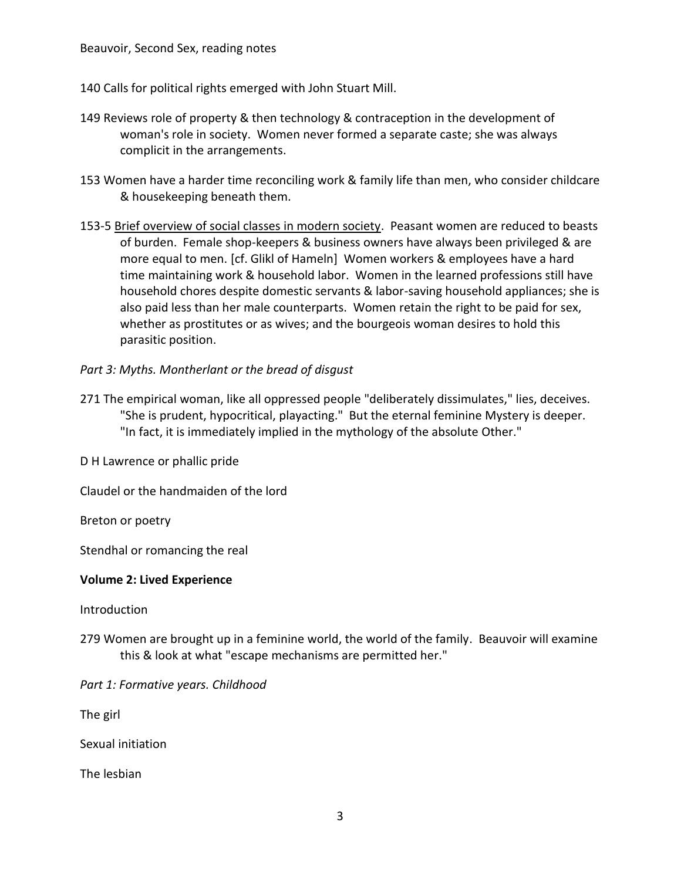140 Calls for political rights emerged with John Stuart Mill.

- 149 Reviews role of property & then technology & contraception in the development of woman's role in society. Women never formed a separate caste; she was always complicit in the arrangements.
- 153 Women have a harder time reconciling work & family life than men, who consider childcare & housekeeping beneath them.
- 153-5 Brief overview of social classes in modern society. Peasant women are reduced to beasts of burden. Female shop-keepers & business owners have always been privileged & are more equal to men. [cf. Glikl of Hameln] Women workers & employees have a hard time maintaining work & household labor. Women in the learned professions still have household chores despite domestic servants & labor-saving household appliances; she is also paid less than her male counterparts. Women retain the right to be paid for sex, whether as prostitutes or as wives; and the bourgeois woman desires to hold this parasitic position.
- *Part 3: Myths. Montherlant or the bread of disgust*
- 271 The empirical woman, like all oppressed people "deliberately dissimulates," lies, deceives. "She is prudent, hypocritical, playacting." But the eternal feminine Mystery is deeper. "In fact, it is immediately implied in the mythology of the absolute Other."

D H Lawrence or phallic pride

Claudel or the handmaiden of the lord

Breton or poetry

Stendhal or romancing the real

## **Volume 2: Lived Experience**

Introduction

279 Women are brought up in a feminine world, the world of the family. Beauvoir will examine this & look at what "escape mechanisms are permitted her."

*Part 1: Formative years. Childhood*

The girl

Sexual initiation

The lesbian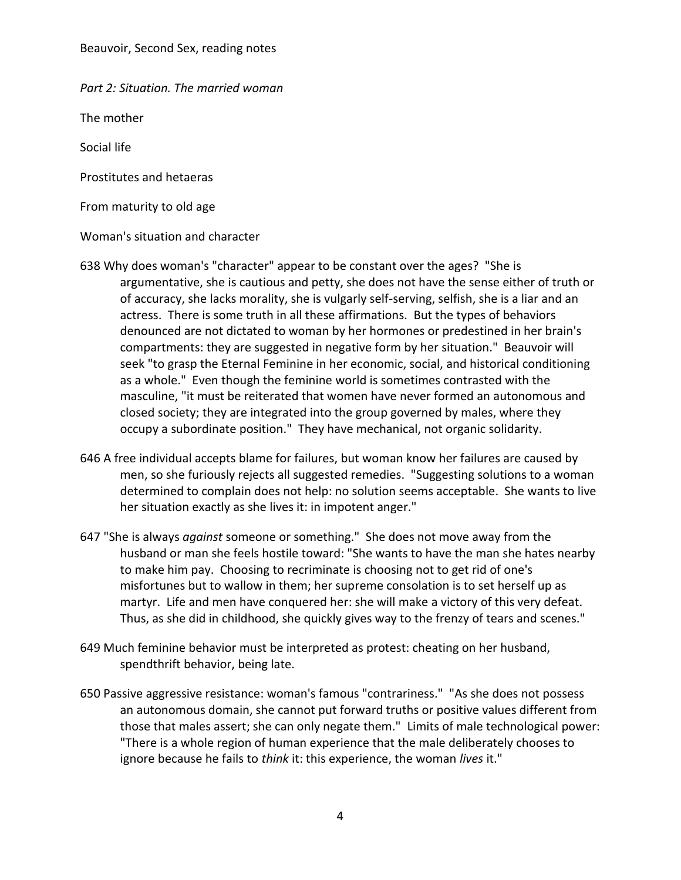Beauvoir, Second Sex, reading notes

*Part 2: Situation. The married woman*

The mother

Social life

Prostitutes and hetaeras

From maturity to old age

Woman's situation and character

- 638 Why does woman's "character" appear to be constant over the ages? "She is argumentative, she is cautious and petty, she does not have the sense either of truth or of accuracy, she lacks morality, she is vulgarly self-serving, selfish, she is a liar and an actress. There is some truth in all these affirmations. But the types of behaviors denounced are not dictated to woman by her hormones or predestined in her brain's compartments: they are suggested in negative form by her situation." Beauvoir will seek "to grasp the Eternal Feminine in her economic, social, and historical conditioning as a whole." Even though the feminine world is sometimes contrasted with the masculine, "it must be reiterated that women have never formed an autonomous and closed society; they are integrated into the group governed by males, where they occupy a subordinate position." They have mechanical, not organic solidarity.
- 646 A free individual accepts blame for failures, but woman know her failures are caused by men, so she furiously rejects all suggested remedies. "Suggesting solutions to a woman determined to complain does not help: no solution seems acceptable. She wants to live her situation exactly as she lives it: in impotent anger."
- 647 "She is always *against* someone or something." She does not move away from the husband or man she feels hostile toward: "She wants to have the man she hates nearby to make him pay. Choosing to recriminate is choosing not to get rid of one's misfortunes but to wallow in them; her supreme consolation is to set herself up as martyr. Life and men have conquered her: she will make a victory of this very defeat. Thus, as she did in childhood, she quickly gives way to the frenzy of tears and scenes."
- 649 Much feminine behavior must be interpreted as protest: cheating on her husband, spendthrift behavior, being late.
- 650 Passive aggressive resistance: woman's famous "contrariness." "As she does not possess an autonomous domain, she cannot put forward truths or positive values different from those that males assert; she can only negate them." Limits of male technological power: "There is a whole region of human experience that the male deliberately chooses to ignore because he fails to *think* it: this experience, the woman *lives* it."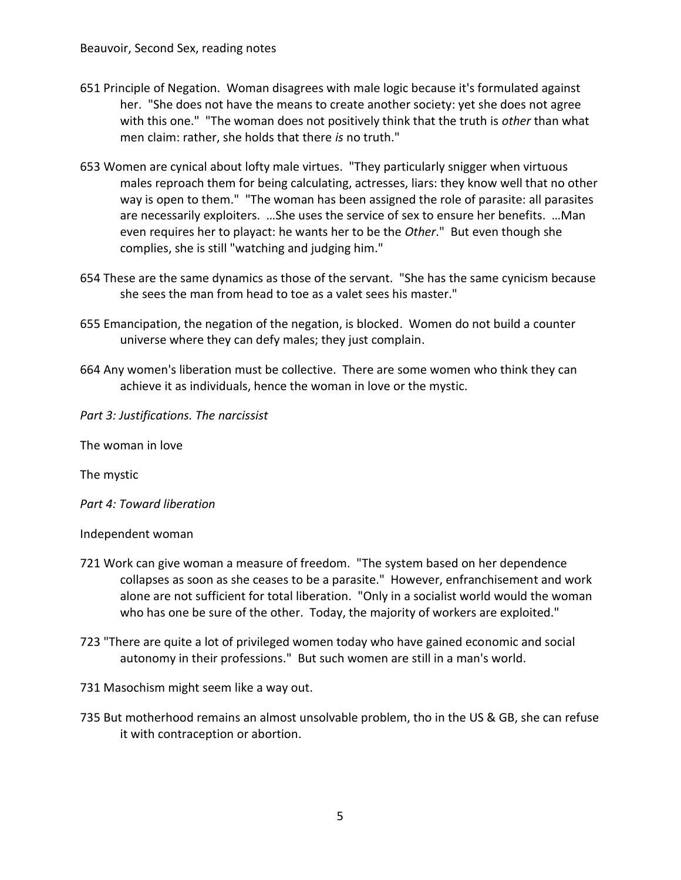- 651 Principle of Negation. Woman disagrees with male logic because it's formulated against her. "She does not have the means to create another society: yet she does not agree with this one." "The woman does not positively think that the truth is *other* than what men claim: rather, she holds that there *is* no truth."
- 653 Women are cynical about lofty male virtues. "They particularly snigger when virtuous males reproach them for being calculating, actresses, liars: they know well that no other way is open to them." "The woman has been assigned the role of parasite: all parasites are necessarily exploiters. …She uses the service of sex to ensure her benefits. …Man even requires her to playact: he wants her to be the *Other*." But even though she complies, she is still "watching and judging him."
- 654 These are the same dynamics as those of the servant. "She has the same cynicism because she sees the man from head to toe as a valet sees his master."
- 655 Emancipation, the negation of the negation, is blocked. Women do not build a counter universe where they can defy males; they just complain.
- 664 Any women's liberation must be collective. There are some women who think they can achieve it as individuals, hence the woman in love or the mystic.

*Part 3: Justifications. The narcissist*

The woman in love

The mystic

*Part 4: Toward liberation*

Independent woman

- 721 Work can give woman a measure of freedom. "The system based on her dependence collapses as soon as she ceases to be a parasite." However, enfranchisement and work alone are not sufficient for total liberation. "Only in a socialist world would the woman who has one be sure of the other. Today, the majority of workers are exploited."
- 723 "There are quite a lot of privileged women today who have gained economic and social autonomy in their professions." But such women are still in a man's world.

731 Masochism might seem like a way out.

735 But motherhood remains an almost unsolvable problem, tho in the US & GB, she can refuse it with contraception or abortion.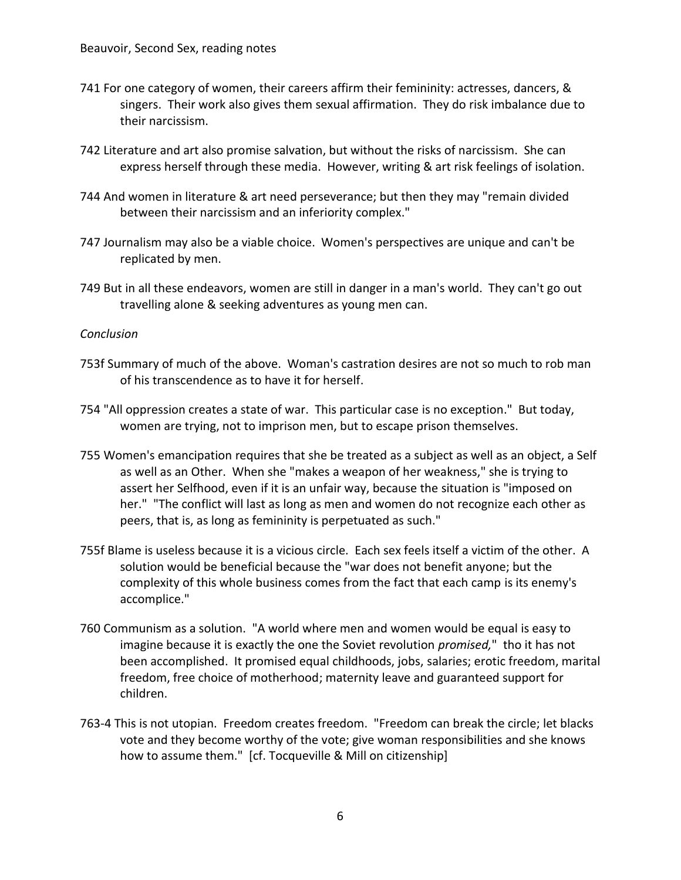- 741 For one category of women, their careers affirm their femininity: actresses, dancers, & singers. Their work also gives them sexual affirmation. They do risk imbalance due to their narcissism.
- 742 Literature and art also promise salvation, but without the risks of narcissism. She can express herself through these media. However, writing & art risk feelings of isolation.
- 744 And women in literature & art need perseverance; but then they may "remain divided between their narcissism and an inferiority complex."
- 747 Journalism may also be a viable choice. Women's perspectives are unique and can't be replicated by men.
- 749 But in all these endeavors, women are still in danger in a man's world. They can't go out travelling alone & seeking adventures as young men can.

## *Conclusion*

- 753f Summary of much of the above. Woman's castration desires are not so much to rob man of his transcendence as to have it for herself.
- 754 "All oppression creates a state of war. This particular case is no exception." But today, women are trying, not to imprison men, but to escape prison themselves.
- 755 Women's emancipation requires that she be treated as a subject as well as an object, a Self as well as an Other. When she "makes a weapon of her weakness," she is trying to assert her Selfhood, even if it is an unfair way, because the situation is "imposed on her." "The conflict will last as long as men and women do not recognize each other as peers, that is, as long as femininity is perpetuated as such."
- 755f Blame is useless because it is a vicious circle. Each sex feels itself a victim of the other. A solution would be beneficial because the "war does not benefit anyone; but the complexity of this whole business comes from the fact that each camp is its enemy's accomplice."
- 760 Communism as a solution. "A world where men and women would be equal is easy to imagine because it is exactly the one the Soviet revolution *promised,*" tho it has not been accomplished. It promised equal childhoods, jobs, salaries; erotic freedom, marital freedom, free choice of motherhood; maternity leave and guaranteed support for children.
- 763-4 This is not utopian. Freedom creates freedom. "Freedom can break the circle; let blacks vote and they become worthy of the vote; give woman responsibilities and she knows how to assume them." [cf. Tocqueville & Mill on citizenship]